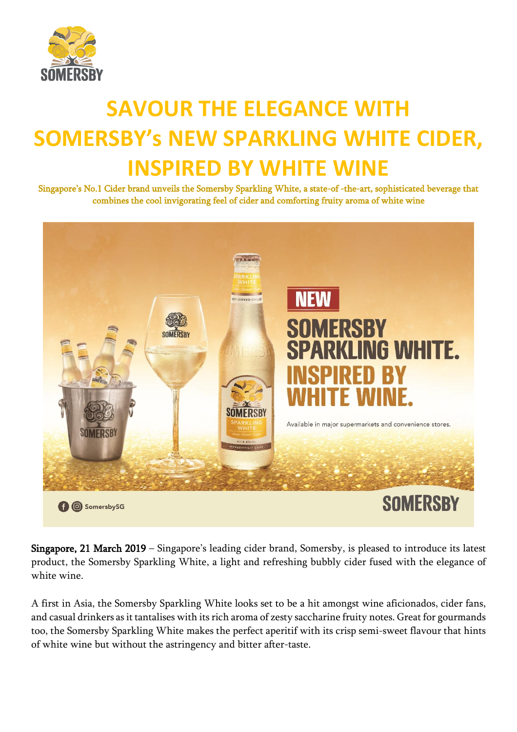

## **SAVOUR THE ELEGANCE WITH SOMERSBY's NEW SPARKLING WHITE CIDER, INSPIRED BY WHITE WINE**

Singapore's No.1 Cider brand unveils the Somersby Sparkling White, a state-of -the-art, sophisticated beverage that combines the cool invigorating feel of cider and comforting fruity aroma of white wine



Singapore, 21 March 2019 – Singapore's leading cider brand, Somersby, is pleased to introduce its latest product, the Somersby Sparkling White, a light and refreshing bubbly cider fused with the elegance of white wine.

A first in Asia, the Somersby Sparkling White looks set to be a hit amongst wine aficionados, cider fans, and casual drinkers as it tantalises with its rich aroma of zesty saccharine fruity notes. Great for gourmands too, the Somersby Sparkling White makes the perfect aperitif with its crisp semi-sweet flavour that hints of white wine but without the astringency and bitter after-taste.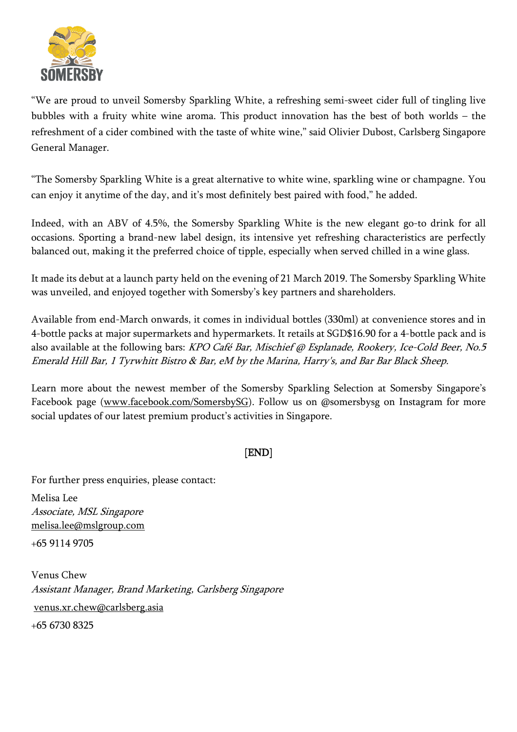

"We are proud to unveil Somersby Sparkling White, a refreshing semi-sweet cider full of tingling live bubbles with a fruity white wine aroma. This product innovation has the best of both worlds – the refreshment of a cider combined with the taste of white wine," said Olivier Dubost, Carlsberg Singapore General Manager.

"The Somersby Sparkling White is a great alternative to white wine, sparkling wine or champagne. You can enjoy it anytime of the day, and it's most definitely best paired with food," he added.

Indeed, with an ABV of 4.5%, the Somersby Sparkling White is the new elegant go-to drink for all occasions. Sporting a brand-new label design, its intensive yet refreshing characteristics are perfectly balanced out, making it the preferred choice of tipple, especially when served chilled in a wine glass.

It made its debut at a launch party held on the evening of 21 March 2019. The Somersby Sparkling White was unveiled, and enjoyed together with Somersby's key partners and shareholders.

Available from end-March onwards, it comes in individual bottles (330ml) at convenience stores and in 4-bottle packs at major supermarkets and hypermarkets. It retails at SGD\$16.90 for a 4-bottle pack and is also available at the following bars: [KPO](https://www.burpple.com/kpo-cafe-bar) Café Bar, Mischief @ Esplanade, Rookery, Ice-Cold Beer, No.5 Emerald Hill Bar, 1 Tyrwhitt Bistro & Bar, eM by the Marina, Harry's, and Bar Bar Black Sheep.

Learn more about the newest member of the Somersby Sparkling Selection at Somersby Singapore's Facebook page [\(www.facebook.com/SomersbySG\)](http://www.facebook.com/SomersbySG). Follow us on @somersbysg on Instagram for more social updates of our latest premium product's activities in Singapore.

## [END]

For further press enquiries, please contact:

Melisa Lee Associate, MSL Singapore [melisa.lee@mslgroup.com](mailto:melisa.lee@mslgroup.com)

+65 9114 9705

Venus Chew Assistant Manager, Brand Marketing, Carlsberg Singapore [venus.xr.chew@carlsberg.asia](mailto:venus.xr.chew@carlsberg.asia) +65 6730 8325